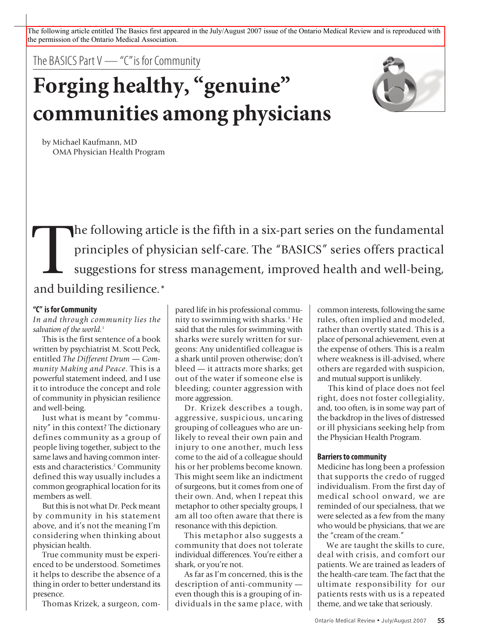The following article entitled The Basics first appeared in the July/August 2007 issue of the Ontario Medical Review and is reproduced with the permission of the Ontario Medical Association.

The BASICS Part  $V$  — "C" is for Community

# **Forging healthy, "genuine" communities among physicians**



by Michael Kaufmann, MD OMA Physician Health Program

The following article is the fifth in a six-part series on the fundamental<br>principles of physician self-care. The "BASICS" series offers practical<br>suggestions for stress management, improved health and well-being,<br>and buil principles of physician self-care. The "BASICS" series offers practical suggestions for stress management, improved health and well-being, and building resilience.\*

#### **"C" isforCommunity**

*In and through community lies the salvation of the world.* 1

This is the first sentence of a book written by psychiatrist M. Scott Peck, entitled *The Different Drum — Community Making and Peace*. This is a powerful statement indeed, and I use it to introduce the concept and role of community in physician resilience and well-being.

Just what is meant by "community" in this context? The dictionary defines community as a group of people living together, subject to the same laws and having common interests and characteristics. <sup>2</sup> Community defined this way usually includes a common geographical location forits members as well.

But this is not what Dr. Peck meant by community in his statement above, and it's not the meaning I'm considering when thinking about physician health.

True community must be experienced to be understood. Sometimes it helps to describe the absence of a thing in order to better understand its presence.

Thomas Krizek, a surgeon, com-

pared life in his professional community to swimming with sharks. <sup>3</sup> He said that the rules for swimming with sharks were surely written for surgeons: Any unidentified colleague is a shark until proven otherwise; don't bleed — it attracts more sharks; get out of the water if someone else is bleeding; counter aggression with more aggression.

Dr. Krizek describes a tough, aggressive, suspicious, uncaring grouping of colleagues who are unlikely to reveal their own pain and injury to one another, much less come to the aid of a colleague should his or her problems become known. This might seem like an indictment of surgeons, but it comes from one of their own. And, when I repeat this metaphor to other specialty groups, I am all too often aware that there is resonance with this depiction.

This metaphor also suggests a community that does not tolerate individual differences. You're either a shark, or you're not.

As far as I'm concerned, this is the description of anti-community even though this is a grouping of individuals in the same place, with common interests, following the same rules, often implied and modeled, rather than overtly stated. This is a place of personal achievement, even at the expense of others. This is a realm where weakness is ill-advised, where others are regarded with suspicion, and mutual support is unlikely.

This kind of place does not feel right, does not foster collegiality, and, too often, is in some way part of the backdrop in the lives of distressed or ill physicians seeking help from the Physician Health Program.

#### **Barriersto community**

Medicine has long been a profession that supports the credo of rugged individualism. From the first day of medical school onward, we are reminded of our specialness, that we were selected as a few from the many who would be physicians, that we are the "cream of the cream."

We are taught the skills to cure, deal with crisis, and comfort our patients. We are trained as leaders of the health-care team. The fact that the ultimate responsibility for our patients rests with us is a repeated theme, and we take that seriously.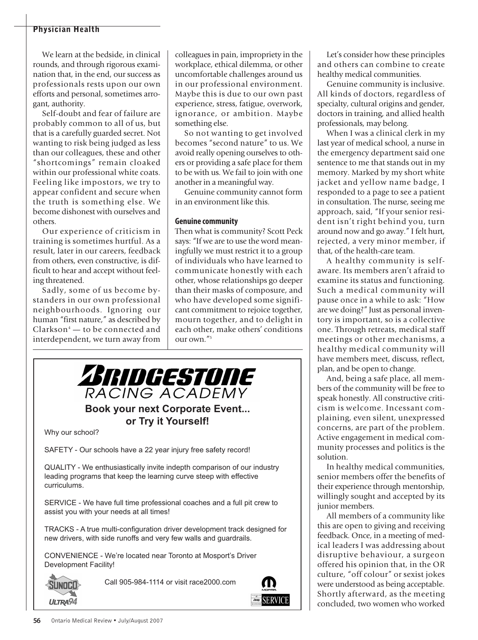#### **Physician Health**

We learn at the bedside, in clinical rounds, and through rigorous examination that, in the end, our success as professionals rests upon our own efforts and personal, sometimes arrogant, authority.

Self-doubt and fear of failure are probably common to all of us, but that is a carefully guarded secret. Not wanting to risk being judged as less than our colleagues, these and other "shortcomings" remain cloaked within our professional white coats. Feeling like impostors, we try to appear confident and secure when the truth is something else. We become dishonest with ourselves and others.

Our experience of criticism in training is sometimes hurtful. As a result, later in our careers, feedback from others, even constructive, is difficult to hear and accept without feeling threatened.

Sadly, some of us become bystanders in our own professional neighbourhoods. Ignoring our human "first nature," as described by  $Clarkson<sup>4</sup>$  — to be connected and interdependent, we turn away from

colleagues in pain, impropriety in the workplace, ethical dilemma, or other uncomfortable challenges around us in our professional environment. Maybe this is due to our own past experience, stress, fatigue, overwork, ignorance, or ambition. Maybe something else.

So not wanting to get involved becomes "second nature" to us. We avoid really opening ourselves to others or providing a safe place for them to be with us. We fail to join with one another in a meaningful way.

Genuine community cannot form in an environment like this.

#### **Genuine community**

Then what is community? Scott Peck says: "If we are to use the word meaningfully we must restrict it to a group of individuals who have learned to communicate honestly with each other, whose relationships go deeper than their masks of composure, and who have developed some significant commitment to rejoice together, mourn together, and to delight in each other, make others' conditions our own."5



### **Book your next Corporate Event... or Try it Yourself!**

Why our school?

SAFETY - Our schools have a 22 year injury free safety record!

QUALITY- We enthusiastically invite indepth comparison of our industry leading programs that keep the learning curve steep with effective curriculums.

SERVICE - We have full time professional coaches and a full pit crew to assist you with your needs at all times!

TRACKS - A true multi-configuration driver development track designed for new drivers, with side runoffs and very few walls and guardrails.

CONVENIENCE - We're located near Toronto at Mosport's Driver Development Facility!



Call 905-984-1114 or visit race2000.com



Let's consider how these principles and others can combine to create healthy medical communities.

Genuine community is inclusive. All kinds of doctors, regardless of specialty, cultural origins and gender, doctors in training, and allied health professionals, may belong.

When I was a clinical clerk in my last year of medical school, a nurse in the emergency department said one sentence to me that stands out in my memory. Marked by my short white jacket and yellow name badge, I responded to a page to see a patient in consultation. The nurse, seeing me approach, said, "If your senior resident isn't right behind you, turn around now and go away." I felt hurt, rejected, a very minor member, if that, of the health-care team.

A healthy community is selfaware. Its members aren't afraid to examine its status and functioning. Such a medical community will pause once in a while to ask: "How are we doing?" Just as personal inventory is important, so is a collective one. Through retreats, medical staff meetings or other mechanisms, a healthy medical community will have members meet, discuss, reflect, plan, and be open to change.

And, being a safe place, all members of the community will be free to speak honestly. All constructive criticism is welcome. Incessant complaining, even silent, unexpressed concerns, are part of the problem. Active engagement in medical community processes and politics is the solution.

In healthy medical communities, senior members offer the benefits of their experience through mentorship, willingly sought and accepted by its junior members.

All members of a community like this are open to giving and receiving feedback. Once, in a meeting of medical leaders I was addressing about disruptive behaviour, a surgeon offered his opinion that, in the OR culture, "off colour" or sexist jokes were understood as being acceptable. Shortly afterward, as the meeting concluded, two women who worked